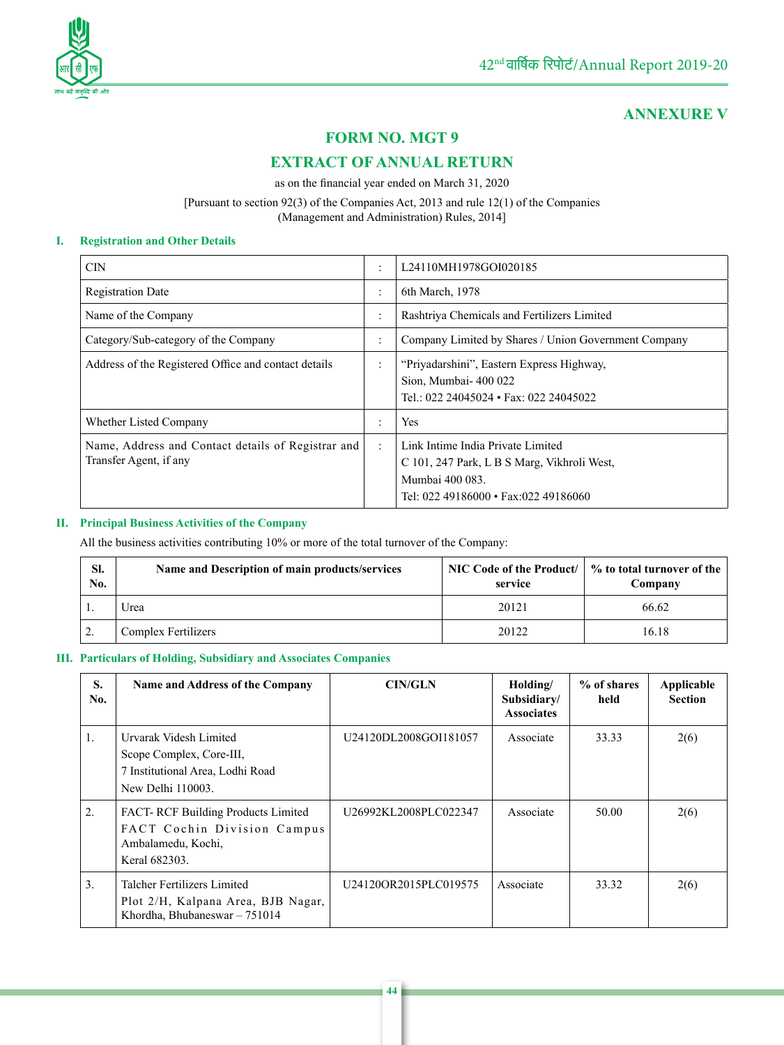

# **Annexure V**

# **FORM NO. MGT 9**

## **EXTRACT OF ANNUAL RETURN**

as on the financial year ended on March 31, 2020

#### [Pursuant to section 92(3) of the Companies Act, 2013 and rule 12(1) of the Companies (Management and Administration) Rules, 2014]

### **I. Registration and Other Details**

| <b>CIN</b>                                                                   |           | L24110MH1978GOI020185                                                                                                                       |
|------------------------------------------------------------------------------|-----------|---------------------------------------------------------------------------------------------------------------------------------------------|
| <b>Registration Date</b>                                                     | $\bullet$ | 6th March, 1978                                                                                                                             |
| Name of the Company                                                          |           | Rashtriya Chemicals and Fertilizers Limited                                                                                                 |
| Category/Sub-category of the Company                                         |           | Company Limited by Shares / Union Government Company                                                                                        |
| Address of the Registered Office and contact details                         |           | "Priyadarshini", Eastern Express Highway,<br>Sion, Mumbai-400 022<br>Tel.: 022 24045024 • Fax: 022 24045022                                 |
| Whether Listed Company                                                       |           | Yes                                                                                                                                         |
| Name, Address and Contact details of Registrar and<br>Transfer Agent, if any |           | Link Intime India Private Limited<br>C 101, 247 Park, L B S Marg, Vikhroli West,<br>Mumbai 400 083.<br>Tel: 022 49186000 • Fax:022 49186060 |

#### **II. Principal Business Activities of the Company**

All the business activities contributing 10% or more of the total turnover of the Company:

| SI.<br>No. | Name and Description of main products/services | NIC Code of the Product/<br>service | % to total turnover of the<br>Company |  |
|------------|------------------------------------------------|-------------------------------------|---------------------------------------|--|
|            | Urea                                           | 20121                               | 66.62                                 |  |
| ٠.         | Complex Fertilizers                            | 20122                               | 16.18                                 |  |

#### **III. Particulars of Holding, Subsidiary and Associates Companies**

| S.<br>No. | Name and Address of the Company                                                                                 | <b>CIN/GLN</b>                                 | Holding/<br>Subsidiary/<br><b>Associates</b> | % of shares<br>held | Applicable<br><b>Section</b> |
|-----------|-----------------------------------------------------------------------------------------------------------------|------------------------------------------------|----------------------------------------------|---------------------|------------------------------|
| 1.        | Urvarak Videsh Limited<br>Scope Complex, Core-III,<br>7 Institutional Area, Lodhi Road<br>New Delhi 110003.     | U <sub>24120</sub> DL <sub>2008GOI181057</sub> | Associate                                    | 33.33               | 2(6)                         |
| 2.        | <b>FACT-RCF Building Products Limited</b><br>FACT Cochin Division Campus<br>Ambalamedu, Kochi,<br>Keral 682303. | U26992KL2008PLC022347                          | Associate                                    | 50.00               | 2(6)                         |
| 3.        | Talcher Fertilizers Limited<br>Plot 2/H, Kalpana Area, BJB Nagar,<br>Khordha, Bhubaneswar $-751014$             | U24120OR2015PLC019575                          | Associate                                    | 33.32               | 2(6)                         |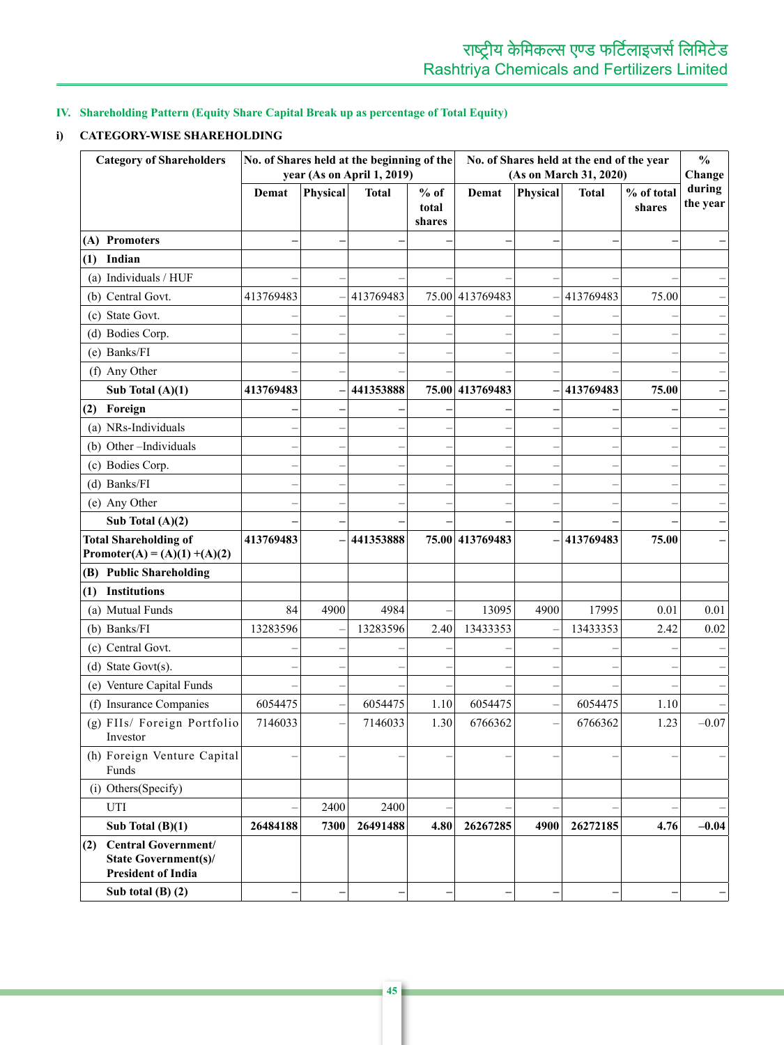## IV. Shareholding Pattern (Equity Share Capital Break up as percentage of Total Equity)

#### **CATEGORY-WISE SHAREHOLDING**  $i)$

|     | <b>Category of Shareholders</b>                                                        |           |                          | No. of Shares held at the beginning of the<br>year (As on April 1, 2019) |                           |                 |                 | No. of Shares held at the end of the year<br>(As on March 31, 2020) |                      | $\frac{0}{0}$<br>Change |
|-----|----------------------------------------------------------------------------------------|-----------|--------------------------|--------------------------------------------------------------------------|---------------------------|-----------------|-----------------|---------------------------------------------------------------------|----------------------|-------------------------|
|     |                                                                                        | Demat     | Physical                 | <b>Total</b>                                                             | $%$ of<br>total<br>shares | Demat           | <b>Physical</b> | <b>Total</b>                                                        | % of total<br>shares | during<br>the year      |
|     | (A) Promoters                                                                          |           |                          |                                                                          |                           |                 |                 |                                                                     |                      |                         |
| (1) | Indian                                                                                 |           |                          |                                                                          |                           |                 |                 |                                                                     |                      |                         |
|     | (a) Individuals / HUF                                                                  |           |                          |                                                                          |                           |                 |                 |                                                                     |                      |                         |
|     | (b) Central Govt.                                                                      | 413769483 | $\overline{\phantom{0}}$ | 413769483                                                                |                           | 75.00 413769483 |                 | 413769483                                                           | 75.00                |                         |
|     | (c) State Govt.                                                                        |           |                          |                                                                          |                           |                 |                 |                                                                     |                      | $\qquad \qquad -$       |
|     | (d) Bodies Corp.                                                                       |           |                          |                                                                          |                           |                 |                 |                                                                     |                      |                         |
|     | (e) Banks/FI                                                                           |           |                          |                                                                          |                           |                 |                 |                                                                     |                      |                         |
|     | (f) Any Other                                                                          |           |                          |                                                                          |                           |                 |                 |                                                                     |                      |                         |
|     | Sub Total $(A)(1)$                                                                     | 413769483 | $\overline{\phantom{0}}$ | 441353888                                                                |                           | 75.00 413769483 |                 | 413769483                                                           | 75.00                |                         |
| (2) | Foreign                                                                                |           |                          |                                                                          |                           |                 |                 |                                                                     |                      |                         |
|     | (a) NRs-Individuals                                                                    |           |                          |                                                                          |                           |                 |                 |                                                                     |                      |                         |
|     | (b) Other-Individuals                                                                  |           | $\overline{a}$           |                                                                          |                           |                 |                 |                                                                     |                      | -                       |
|     | (c) Bodies Corp.                                                                       |           | -                        |                                                                          |                           |                 |                 |                                                                     |                      | -                       |
|     | (d) Banks/FI                                                                           |           | $\overline{\phantom{0}}$ |                                                                          |                           |                 |                 |                                                                     |                      |                         |
|     | (e) Any Other                                                                          |           |                          |                                                                          |                           |                 |                 |                                                                     |                      |                         |
|     | Sub Total $(A)(2)$                                                                     |           |                          |                                                                          |                           |                 |                 |                                                                     |                      | -                       |
|     | <b>Total Shareholding of</b><br>Promoter(A) = (A)(1) +(A)(2)                           | 413769483 | $\overline{\phantom{0}}$ | 441353888                                                                |                           | 75.00 413769483 |                 | 413769483                                                           | 75.00                |                         |
|     | (B) Public Shareholding                                                                |           |                          |                                                                          |                           |                 |                 |                                                                     |                      |                         |
| (1) | <b>Institutions</b>                                                                    |           |                          |                                                                          |                           |                 |                 |                                                                     |                      |                         |
|     | (a) Mutual Funds                                                                       | 84        | 4900                     | 4984                                                                     |                           | 13095           | 4900            | 17995                                                               | 0.01                 | 0.01                    |
|     | (b) Banks/FI                                                                           | 13283596  |                          | 13283596                                                                 | 2.40                      | 13433353        |                 | 13433353                                                            | 2.42                 | 0.02                    |
|     | (c) Central Govt.                                                                      |           |                          |                                                                          |                           |                 |                 |                                                                     |                      | -                       |
|     | (d) State Govt $(s)$ .                                                                 |           |                          |                                                                          |                           |                 |                 |                                                                     |                      |                         |
|     | (e) Venture Capital Funds                                                              |           |                          |                                                                          |                           |                 |                 |                                                                     |                      |                         |
|     | (f) Insurance Companies                                                                | 6054475   | $\overline{\phantom{0}}$ | 6054475                                                                  | 1.10                      | 6054475         |                 | 6054475                                                             | 1.10                 |                         |
|     | (g) FIIs/ Foreign Portfolio<br>Investor                                                | 7146033   | $\overline{\phantom{0}}$ | 7146033                                                                  | 1.30                      | 6766362         |                 | 6766362                                                             | 1.23                 | $-0.07$                 |
|     | (h) Foreign Venture Capital<br>Funds                                                   |           |                          |                                                                          |                           |                 |                 |                                                                     |                      |                         |
|     | (i) Others(Specify)                                                                    |           |                          |                                                                          |                           |                 |                 |                                                                     |                      |                         |
|     | UTI                                                                                    |           | 2400                     | 2400                                                                     |                           |                 |                 |                                                                     |                      |                         |
|     | Sub Total $(B)(1)$                                                                     | 26484188  | 7300                     | 26491488                                                                 | 4.80                      | 26267285        | 4900            | 26272185                                                            | 4.76                 | $-0.04$                 |
| (2) | <b>Central Government/</b><br><b>State Government(s)/</b><br><b>President of India</b> |           |                          |                                                                          |                           |                 |                 |                                                                     |                      |                         |
|     | Sub total $(B)$ $(2)$                                                                  |           |                          |                                                                          |                           |                 |                 |                                                                     |                      |                         |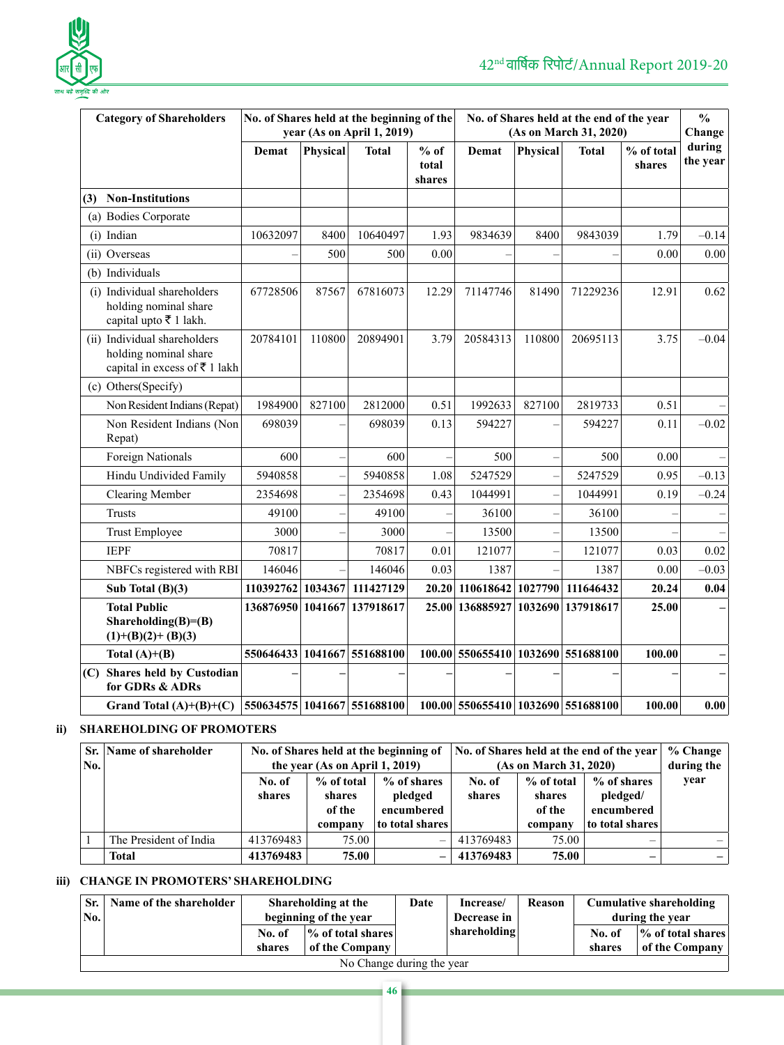

|     | <b>Category of Shareholders</b>                                                        | No. of Shares held at the beginning of the<br>year (As on April 1, 2019) |                 |                             |                           |                                    |          | No. of Shares held at the end of the year<br>(As on March 31, 2020) |                      | $\frac{0}{0}$<br>Change |
|-----|----------------------------------------------------------------------------------------|--------------------------------------------------------------------------|-----------------|-----------------------------|---------------------------|------------------------------------|----------|---------------------------------------------------------------------|----------------------|-------------------------|
|     |                                                                                        | Demat                                                                    | <b>Physical</b> | <b>Total</b>                | $%$ of<br>total<br>shares | Demat                              | Physical | <b>Total</b>                                                        | % of total<br>shares | during<br>the year      |
| (3) | <b>Non-Institutions</b>                                                                |                                                                          |                 |                             |                           |                                    |          |                                                                     |                      |                         |
|     | (a) Bodies Corporate                                                                   |                                                                          |                 |                             |                           |                                    |          |                                                                     |                      |                         |
|     | (i) Indian                                                                             | 10632097                                                                 | 8400            | 10640497                    | 1.93                      | 9834639                            | 8400     | 9843039                                                             | 1.79                 | $-0.14$                 |
|     | (ii) Overseas                                                                          |                                                                          | 500             | 500                         | 0.00                      |                                    |          |                                                                     | 0.00                 | 0.00                    |
|     | (b) Individuals                                                                        |                                                                          |                 |                             |                           |                                    |          |                                                                     |                      |                         |
|     | (i) Individual shareholders<br>holding nominal share<br>capital upto ₹ 1 lakh.         | 67728506                                                                 | 87567           | 67816073                    | 12.29                     | 71147746                           | 81490    | 71229236                                                            | 12.91                | 0.62                    |
|     | (ii) Individual shareholders<br>holding nominal share<br>capital in excess of ₹ 1 lakh | 20784101                                                                 | 110800          | 20894901                    | 3.79                      | 20584313                           | 110800   | 20695113                                                            | 3.75                 | $-0.04$                 |
|     | (c) Others(Specify)                                                                    |                                                                          |                 |                             |                           |                                    |          |                                                                     |                      |                         |
|     | Non Resident Indians (Repat)                                                           | 1984900                                                                  | 827100          | 2812000                     | 0.51                      | 1992633                            | 827100   | 2819733                                                             | 0.51                 |                         |
|     | Non Resident Indians (Non<br>Repat)                                                    | 698039                                                                   |                 | 698039                      | 0.13                      | 594227                             |          | 594227                                                              | 0.11                 | $-0.02$                 |
|     | Foreign Nationals                                                                      | 600                                                                      |                 | 600                         |                           | 500                                |          | 500                                                                 | 0.00                 |                         |
|     | Hindu Undivided Family                                                                 | 5940858                                                                  |                 | 5940858                     | 1.08                      | 5247529                            |          | 5247529                                                             | 0.95                 | $-0.13$                 |
|     | <b>Clearing Member</b>                                                                 | 2354698                                                                  |                 | 2354698                     | 0.43                      | 1044991                            |          | 1044991                                                             | 0.19                 | $-0.24$                 |
|     | Trusts                                                                                 | 49100                                                                    |                 | 49100                       |                           | 36100                              |          | 36100                                                               |                      |                         |
|     | <b>Trust Employee</b>                                                                  | 3000                                                                     |                 | 3000                        | $\overline{\phantom{0}}$  | 13500                              |          | 13500                                                               |                      |                         |
|     | <b>IEPF</b>                                                                            | 70817                                                                    |                 | 70817                       | 0.01                      | 121077                             |          | 121077                                                              | 0.03                 | 0.02                    |
|     | NBFCs registered with RBI                                                              | 146046                                                                   |                 | 146046                      | 0.03                      | 1387                               |          | 1387                                                                | 0.00                 | $-0.03$                 |
|     | Sub Total $(B)(3)$                                                                     | 110392762 1034367                                                        |                 | 111427129                   | 20.20                     | 110618642 1027790                  |          | 111646432                                                           | 20.24                | 0.04                    |
|     | <b>Total Public</b><br>Shareholding $(B)= (B)$<br>$(1)+(B)(2)+(B)(3)$                  | 136876950                                                                | 1041667         | 137918617                   | 25.00                     | 136885927                          | 1032690  | 137918617                                                           | 25.00                |                         |
|     | Total $(A)+(B)$                                                                        |                                                                          |                 | 550646433 1041667 551688100 |                           | 100.00 550655410 1032690 551688100 |          |                                                                     | 100.00               |                         |
|     | (C) Shares held by Custodian<br>for GDRs & ADRs                                        |                                                                          |                 |                             |                           |                                    |          |                                                                     |                      |                         |
|     | Grand Total $(A)+(B)+(C)$                                                              |                                                                          |                 | 550634575 1041667 551688100 |                           | 100.00 550655410 1032690 551688100 |          |                                                                     | 100.00               | 0.00                    |

## **ii) SHAREHOLDING OF PROMOTERS**

| No. | Sr. Name of shareholder |                  | the year (As on April 1, 2019)            | No. of Shares held at the beginning of                  | No. of Shares held at the end of the year | (As on March 31, 2020)                      | % Change<br>during the                                   |      |
|-----|-------------------------|------------------|-------------------------------------------|---------------------------------------------------------|-------------------------------------------|---------------------------------------------|----------------------------------------------------------|------|
|     |                         | No. of<br>shares | % of total<br>shares<br>of the<br>company | % of shares<br>pledged<br>encumbered<br>to total shares | No. of<br>shares                          | $%$ of total<br>shares<br>of the<br>company | % of shares<br>pledged/<br>encumbered<br>to total shares | year |
|     | The President of India  | 413769483        | 75.00                                     |                                                         | 413769483                                 | 75.00                                       | $\overline{\phantom{a}}$                                 |      |
|     | <b>Total</b>            | 413769483        | 75.00                                     |                                                         | 413769483                                 | 75.00                                       | –                                                        |      |

## **iii) CHANGE IN PROMOTERS' SHAREHOLDING**

| Sr. | Name of the shareholder   | Shareholding at the   |                            | Date | Increase/    | Reason |                 | Cumulative shareholding |  |  |
|-----|---------------------------|-----------------------|----------------------------|------|--------------|--------|-----------------|-------------------------|--|--|
| No. |                           | beginning of the year |                            |      | Decrease in  |        | during the year |                         |  |  |
|     |                           | No. of                | $\sqrt{6}$ of total shares |      | shareholding |        | No. of          | % of total shares       |  |  |
|     |                           | shares                | of the Company             |      |              |        | shares          | of the Company          |  |  |
|     | No Change during the year |                       |                            |      |              |        |                 |                         |  |  |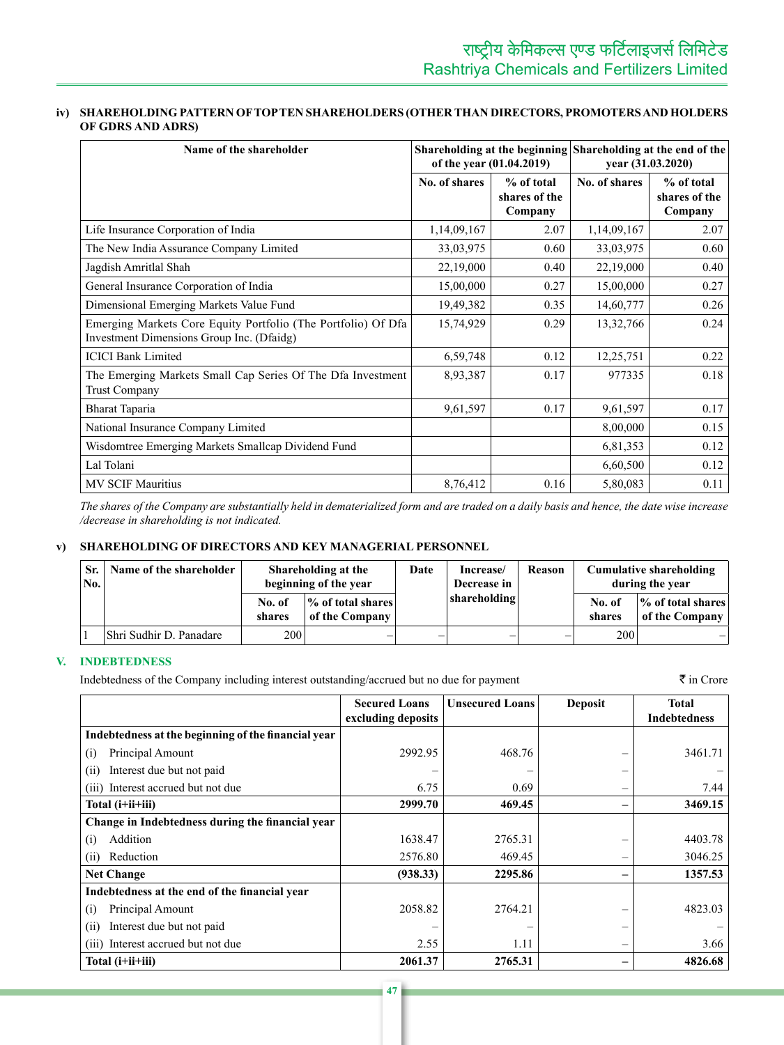#### iv) SHAREHOLDING PATTERN OF TOP TEN SHAREHOLDERS (OTHER THAN DIRECTORS, PROMOTERS AND HOLDERS OF GDRS AND ADRS)

| Name of the shareholder                                                                                    |               | of the year (01.04.2019)               | Shareholding at the beginning Shareholding at the end of the<br>year (31.03.2020) |                                        |  |
|------------------------------------------------------------------------------------------------------------|---------------|----------------------------------------|-----------------------------------------------------------------------------------|----------------------------------------|--|
|                                                                                                            | No. of shares | % of total<br>shares of the<br>Company | No. of shares                                                                     | % of total<br>shares of the<br>Company |  |
| Life Insurance Corporation of India                                                                        | 1,14,09,167   | 2.07                                   | 1,14,09,167                                                                       | 2.07                                   |  |
| The New India Assurance Company Limited                                                                    | 33,03,975     | 0.60                                   | 33,03,975                                                                         | 0.60                                   |  |
| Jagdish Amritlal Shah                                                                                      | 22,19,000     | 0.40                                   | 22,19,000                                                                         | 0.40                                   |  |
| General Insurance Corporation of India                                                                     | 15,00,000     | 0.27                                   | 15,00,000                                                                         | 0.27                                   |  |
| Dimensional Emerging Markets Value Fund                                                                    | 19,49,382     | 0.35                                   | 14,60,777                                                                         | 0.26                                   |  |
| Emerging Markets Core Equity Portfolio (The Portfolio) Of Dfa<br>Investment Dimensions Group Inc. (Dfaidg) | 15,74,929     | 0.29                                   | 13,32,766                                                                         | 0.24                                   |  |
| <b>ICICI Bank Limited</b>                                                                                  | 6,59,748      | 0.12                                   | 12,25,751                                                                         | 0.22                                   |  |
| The Emerging Markets Small Cap Series Of The Dfa Investment<br><b>Trust Company</b>                        | 8,93,387      | 0.17                                   | 977335                                                                            | 0.18                                   |  |
| Bharat Taparia                                                                                             | 9,61,597      | 0.17                                   | 9,61,597                                                                          | 0.17                                   |  |
| National Insurance Company Limited                                                                         |               |                                        | 8,00,000                                                                          | 0.15                                   |  |
| Wisdomtree Emerging Markets Smallcap Dividend Fund                                                         |               |                                        | 6,81,353                                                                          | 0.12                                   |  |
| Lal Tolani                                                                                                 |               |                                        | 6,60,500                                                                          | 0.12                                   |  |
| <b>MV SCIF Mauritius</b>                                                                                   | 8,76,412      | 0.16                                   | 5,80,083                                                                          | 0.11                                   |  |

The shares of the Company are substantially held in dematerialized form and are traded on a daily basis and hence, the date wise increase /decrease in shareholding is not indicated.

## v) SHAREHOLDING OF DIRECTORS AND KEY MANAGERIAL PERSONNEL

| Sr.<br>No. | Name of the shareholder | Shareholding at the<br>beginning of the year |                                                 | Date | Increase/<br>Decrease in | Reason | <b>Cumulative shareholding</b><br>during the year |                                      |
|------------|-------------------------|----------------------------------------------|-------------------------------------------------|------|--------------------------|--------|---------------------------------------------------|--------------------------------------|
|            |                         | No. of<br>shares                             | $\frac{1}{6}$ of total shares<br>of the Company |      | shareholding             |        | No. of<br>shares                                  | % of total shares <br>of the Company |
|            | Shri Sudhir D. Panadare | 200                                          |                                                 |      |                          | –      | 200                                               |                                      |

#### V. INDEBTEDNESS

Indebtedness of the Company including interest outstanding/accrued but no due for payment

 $\bar{\bar{\tau}}$  in Crore

|                                                     | <b>Secured Loans</b><br>excluding deposits | <b>Unsecured Loans</b> | <b>Deposit</b> | <b>Total</b><br><b>Indebtedness</b> |
|-----------------------------------------------------|--------------------------------------------|------------------------|----------------|-------------------------------------|
| Indebtedness at the beginning of the financial year |                                            |                        |                |                                     |
| Principal Amount<br>(i)                             | 2992.95                                    | 468.76                 |                | 3461.71                             |
| Interest due but not paid<br>(11)                   |                                            |                        |                |                                     |
| (iii) Interest accrued but not due                  | 6.75                                       | 0.69                   |                | 7.44                                |
| Total (i+ii+iii)                                    | 2999.70                                    | 469.45                 |                | 3469.15                             |
| Change in Indebtedness during the financial year    |                                            |                        |                |                                     |
| Addition<br>(i)                                     | 1638.47                                    | 2765.31                |                | 4403.78                             |
| Reduction<br>(11)                                   | 2576.80                                    | 469.45                 |                | 3046.25                             |
| <b>Net Change</b>                                   | (938.33)                                   | 2295.86                |                | 1357.53                             |
| Indebtedness at the end of the financial year       |                                            |                        |                |                                     |
| Principal Amount<br>(i)                             | 2058.82                                    | 2764.21                |                | 4823.03                             |
| Interest due but not paid<br>(11)                   |                                            |                        |                |                                     |
| Interest accrued but not due<br>(111)               | 2.55                                       | 1.11                   |                | 3.66                                |
| Total (i+ii+iii)                                    | 2061.37                                    | 2765.31                |                | 4826.68                             |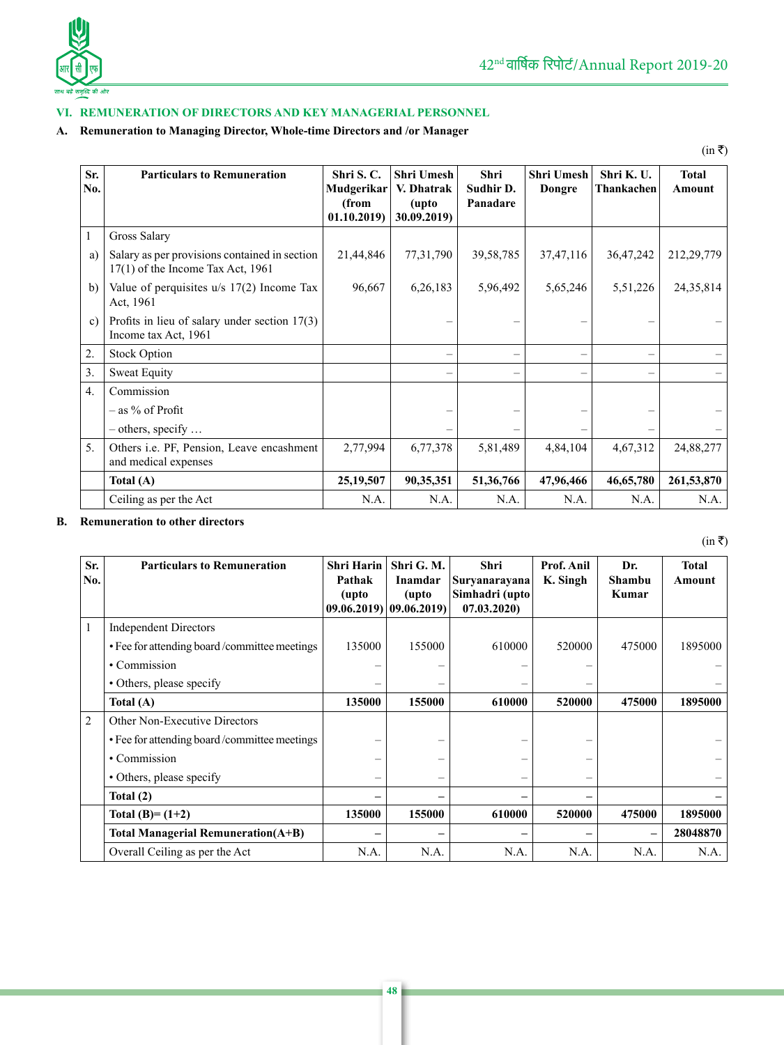

## **VI. REMUNERATION OF DIRECTORS AND KEY MANAGERIAL PERSONNEL**

## **A. Remuneration to Managing Director, Whole-time Directors and /or Manager**

|                  |                                                                                      |                                                |                                                  |                               |                             |                          | $(in \bar{z})$         |
|------------------|--------------------------------------------------------------------------------------|------------------------------------------------|--------------------------------------------------|-------------------------------|-----------------------------|--------------------------|------------------------|
| Sr.<br>No.       | <b>Particulars to Remuneration</b>                                                   | Shri S.C.<br>Mudgerikar<br>(from<br>01.10.2019 | Shri Umesh<br>V. Dhatrak<br>(upto<br>30.09.2019) | Shri<br>Sudhir D.<br>Panadare | <b>Shri Umesh</b><br>Dongre | Shri K. U.<br>Thankachen | <b>Total</b><br>Amount |
| 1                | Gross Salary                                                                         |                                                |                                                  |                               |                             |                          |                        |
| a)               | Salary as per provisions contained in section<br>$17(1)$ of the Income Tax Act, 1961 | 21,44,846                                      | 77,31,790                                        | 39,58,785                     | 37,47,116                   | 36,47,242                | 212,29,779             |
| b)               | Value of perquisites $u/s$ 17(2) Income Tax<br>Act, 1961                             | 96,667                                         | 6,26,183                                         | 5,96,492                      | 5,65,246                    | 5, 51, 226               | 24, 35, 814            |
| $\mathbf{c}$     | Profits in lieu of salary under section $17(3)$<br>Income tax Act, 1961              |                                                |                                                  |                               |                             |                          |                        |
| 2.               | <b>Stock Option</b>                                                                  |                                                | -                                                | $\overline{\phantom{0}}$      |                             |                          |                        |
| $\overline{3}$ . | <b>Sweat Equity</b>                                                                  |                                                | —                                                | —                             | —                           |                          |                        |
| $\overline{4}$ . | Commission                                                                           |                                                |                                                  |                               |                             |                          |                        |
|                  | $-$ as % of Profit                                                                   |                                                |                                                  | —                             |                             |                          |                        |
|                  | - others, specify                                                                    |                                                |                                                  |                               |                             |                          |                        |
| 5.               | Others <i>i.e.</i> PF, Pension, Leave encashment<br>and medical expenses             | 2,77,994                                       | 6,77,378                                         | 5,81,489                      | 4,84,104                    | 4,67,312                 | 24,88,277              |
|                  | Total $(A)$                                                                          | 25, 19, 507                                    | 90,35,351                                        | 51,36,766                     | 47,96,466                   | 46,65,780                | 261,53,870             |
|                  | Ceiling as per the Act                                                               | N.A.                                           | N.A.                                             | N.A.                          | N.A.                        | N.A.                     | N.A.                   |

### **B. Remuneration to other directors**

 $(in \overline{\tau})$ 

| Sr.            | <b>Particulars to Remuneration</b>           | <b>Shri Harin</b>   | Shri G.M.                     | Shri                           | Prof. Anil | Dr.             | Total    |
|----------------|----------------------------------------------|---------------------|-------------------------------|--------------------------------|------------|-----------------|----------|
| No.            |                                              | Pathak              | Inamdar                       | Suryanarayana                  | K. Singh   | Shambu<br>Kumar | Amount   |
|                |                                              | (upto<br>09.06.2019 | (upto<br>$ 09.06.2019\rangle$ | Simhadri (upto<br>(07.03.2020) |            |                 |          |
|                | <b>Independent Directors</b>                 |                     |                               |                                |            |                 |          |
|                | • Fee for attending board/committee meetings | 135000              | 155000                        | 610000                         | 520000     | 475000          | 1895000  |
|                | • Commission                                 |                     |                               |                                |            |                 |          |
|                | • Others, please specify                     |                     |                               |                                |            |                 |          |
|                | Total (A)                                    | 135000              | 155000                        | 610000                         | 520000     | 475000          | 1895000  |
| $\overline{2}$ | Other Non-Executive Directors                |                     |                               |                                |            |                 |          |
|                | • Fee for attending board/committee meetings |                     |                               |                                |            |                 |          |
|                | • Commission                                 |                     |                               |                                |            |                 |          |
|                | • Others, please specify                     |                     |                               |                                |            |                 |          |
|                | Total $(2)$                                  |                     |                               |                                |            |                 |          |
|                | Total (B)= $(1+2)$                           | 135000              | 155000                        | 610000                         | 520000     | 475000          | 1895000  |
|                | <b>Total Managerial Remuneration(A+B)</b>    |                     |                               |                                |            |                 | 28048870 |
|                | Overall Ceiling as per the Act               | N.A.                | N.A.                          | N.A.                           | N.A.       | N.A.            | N.A.     |